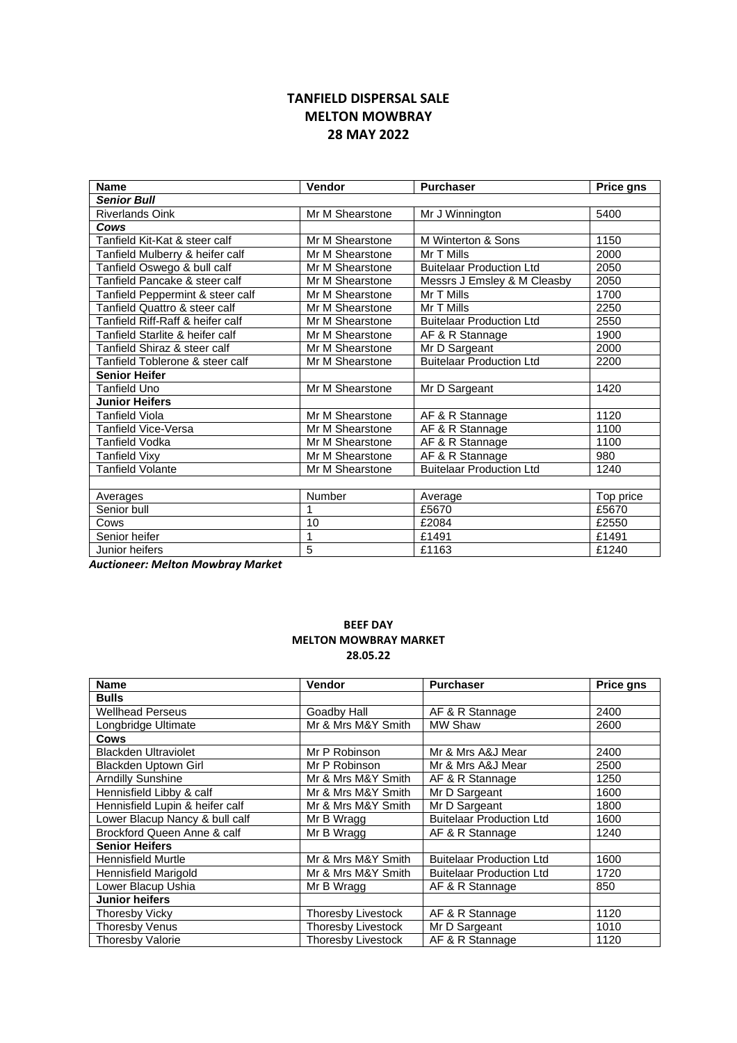## TANFIELD DISPERSAL SALE MELTON MOWBRAY 28 MAY 2022

| <b>Name</b>                      | Vendor          | <b>Purchaser</b>                | <b>Price gns</b> |
|----------------------------------|-----------------|---------------------------------|------------------|
| <b>Senior Bull</b>               |                 |                                 |                  |
| <b>Riverlands Oink</b>           | Mr M Shearstone | Mr J Winnington                 | 5400             |
| Cows                             |                 |                                 |                  |
| Tanfield Kit-Kat & steer calf    | Mr M Shearstone | M Winterton & Sons              | 1150             |
| Tanfield Mulberry & heifer calf  | Mr M Shearstone | Mr T Mills                      | 2000             |
| Tanfield Oswego & bull calf      | Mr M Shearstone | <b>Buitelaar Production Ltd</b> | 2050             |
| Tanfield Pancake & steer calf    | Mr M Shearstone | Messrs J Emsley & M Cleasby     | 2050             |
| Tanfield Peppermint & steer calf | Mr M Shearstone | Mr T Mills                      | 1700             |
| Tanfield Quattro & steer calf    | Mr M Shearstone | Mr T Mills                      | 2250             |
| Tanfield Riff-Raff & heifer calf | Mr M Shearstone | <b>Buitelaar Production Ltd</b> | 2550             |
| Tanfield Starlite & heifer calf  | Mr M Shearstone | AF & R Stannage                 | 1900             |
| Tanfield Shiraz & steer calf     | Mr M Shearstone | Mr D Sargeant                   | 2000             |
| Tanfield Toblerone & steer calf  | Mr M Shearstone | <b>Buitelaar Production Ltd</b> | 2200             |
| <b>Senior Heifer</b>             |                 |                                 |                  |
| <b>Tanfield Uno</b>              | Mr M Shearstone | Mr D Sargeant                   | 1420             |
| <b>Junior Heifers</b>            |                 |                                 |                  |
| <b>Tanfield Viola</b>            | Mr M Shearstone | AF & R Stannage                 | 1120             |
| <b>Tanfield Vice-Versa</b>       | Mr M Shearstone | AF & R Stannage                 | 1100             |
| <b>Tanfield Vodka</b>            | Mr M Shearstone | AF & R Stannage                 | 1100             |
| <b>Tanfield Vixy</b>             | Mr M Shearstone | AF & R Stannage                 | 980              |
| Tanfield Volante                 | Mr M Shearstone | <b>Buitelaar Production Ltd</b> | 1240             |
|                                  |                 |                                 |                  |
| Averages                         | Number          | Average                         | Top price        |
| Senior bull                      |                 | £5670                           | £5670            |
| Cows                             | 10              | £2084                           | £2550            |
| Senior heifer                    | 1               | £1491                           | £1491            |
| Junior heifers                   | 5               | £1163                           | £1240            |

Auctioneer: Melton Mowbray Market

## BEEF DAY MELTON MOWBRAY MARKET 28.05.22

| <b>Name</b>                     | <b>Vendor</b>             | <b>Purchaser</b>                | <b>Price gns</b> |
|---------------------------------|---------------------------|---------------------------------|------------------|
| <b>Bulls</b>                    |                           |                                 |                  |
| <b>Wellhead Perseus</b>         | Goadby Hall               | AF & R Stannage                 | 2400             |
| Longbridge Ultimate             | Mr & Mrs M&Y Smith        | <b>MW Shaw</b>                  | 2600             |
| Cows                            |                           |                                 |                  |
| <b>Blackden Ultraviolet</b>     | Mr P Robinson             | Mr & Mrs A&J Mear               | 2400             |
| <b>Blackden Uptown Girl</b>     | Mr P Robinson             | Mr & Mrs A&J Mear               | 2500             |
| <b>Arndilly Sunshine</b>        | Mr & Mrs M&Y Smith        | AF & R Stannage                 | 1250             |
| Hennisfield Libby & calf        | Mr & Mrs M&Y Smith        | Mr D Sargeant                   | 1600             |
| Hennisfield Lupin & heifer calf | Mr & Mrs M&Y Smith        | Mr D Sargeant                   | 1800             |
| Lower Blacup Nancy & bull calf  | Mr B Wragg                | <b>Buitelaar Production Ltd</b> | 1600             |
| Brockford Queen Anne & calf     | Mr B Wragg                | AF & R Stannage                 | 1240             |
| <b>Senior Heifers</b>           |                           |                                 |                  |
| Hennisfield Murtle              | Mr & Mrs M&Y Smith        | <b>Buitelaar Production Ltd</b> | 1600             |
| <b>Hennisfield Marigold</b>     | Mr & Mrs M&Y Smith        | <b>Buitelaar Production Ltd</b> | 1720             |
| Lower Blacup Ushia              | Mr B Wragg                | AF & R Stannage                 | 850              |
| <b>Junior heifers</b>           |                           |                                 |                  |
| <b>Thoresby Vicky</b>           | <b>Thoresby Livestock</b> | AF & R Stannage                 | 1120             |
| <b>Thoresby Venus</b>           | Thoresby Livestock        | Mr D Sargeant                   | 1010             |
| <b>Thoresby Valorie</b>         | <b>Thoresby Livestock</b> | AF & R Stannage                 | 1120             |